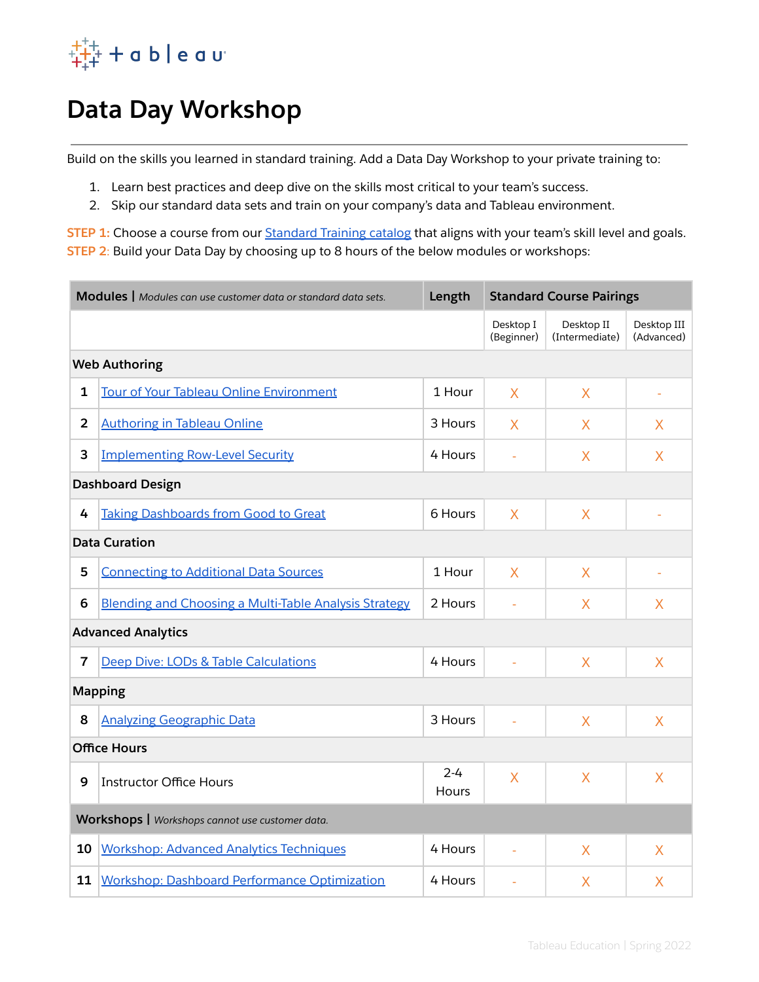

# **Data Day Workshop**

Build on the skills you learned in standard training. Add a Data Day Workshop to your private training to:

- 1. Learn best practices and deep dive on the skills most critical to your team's success.
- 2. Skip our standard data sets and train on your company's data and Tableau environment.

**STEP 1:** Choose a course from our **[Standard](https://www.tableau.com/learn/classroom/course-catalog) Training catalog** that aligns with your team's skill level and goals. **STEP 2**: Build your Data Day by choosing up to 8 hours of the below modules or workshops:

| Modules   Modules can use customer data or standard data sets. |                                                              | Length                  | <b>Standard Course Pairings</b> |                              |                           |
|----------------------------------------------------------------|--------------------------------------------------------------|-------------------------|---------------------------------|------------------------------|---------------------------|
|                                                                |                                                              |                         | Desktop I<br>(Beginner)         | Desktop II<br>(Intermediate) | Desktop III<br>(Advanced) |
| <b>Web Authoring</b>                                           |                                                              |                         |                                 |                              |                           |
| 1                                                              | <b>Tour of Your Tableau Online Environment</b>               | 1 Hour                  | X                               | X                            |                           |
| $\overline{2}$                                                 | <b>Authoring in Tableau Online</b>                           | 3 Hours                 | X                               | X                            | X                         |
| 3                                                              | <b>Implementing Row-Level Security</b>                       | 4 Hours                 |                                 | X                            | X                         |
| <b>Dashboard Design</b>                                        |                                                              |                         |                                 |                              |                           |
| 4                                                              | <b>Taking Dashboards from Good to Great</b>                  | 6 Hours                 | X                               | X                            |                           |
| <b>Data Curation</b>                                           |                                                              |                         |                                 |                              |                           |
| 5                                                              | <b>Connecting to Additional Data Sources</b>                 | 1 Hour                  | X                               | X                            |                           |
| 6                                                              | <b>Blending and Choosing a Multi-Table Analysis Strategy</b> | 2 Hours                 |                                 | X                            | $\overline{X}$            |
| <b>Advanced Analytics</b>                                      |                                                              |                         |                                 |                              |                           |
| $\overline{7}$                                                 | Deep Dive: LODs & Table Calculations                         | 4 Hours                 |                                 | $\overline{X}$               | $\overline{X}$            |
| <b>Mapping</b>                                                 |                                                              |                         |                                 |                              |                           |
| 8                                                              | <b>Analyzing Geographic Data</b>                             | 3 Hours                 |                                 | X                            | X                         |
| <b>Office Hours</b>                                            |                                                              |                         |                                 |                              |                           |
| 9                                                              | <b>Instructor Office Hours</b>                               | $2 - 4$<br><b>Hours</b> | X                               | X                            | $\overline{\mathsf{X}}$   |
| Workshops   Workshops cannot use customer data.                |                                                              |                         |                                 |                              |                           |
| 10                                                             | <b>Workshop: Advanced Analytics Techniques</b>               | 4 Hours                 |                                 | X                            | X                         |
| 11                                                             | Workshop: Dashboard Performance Optimization                 | 4 Hours                 |                                 | X                            | X                         |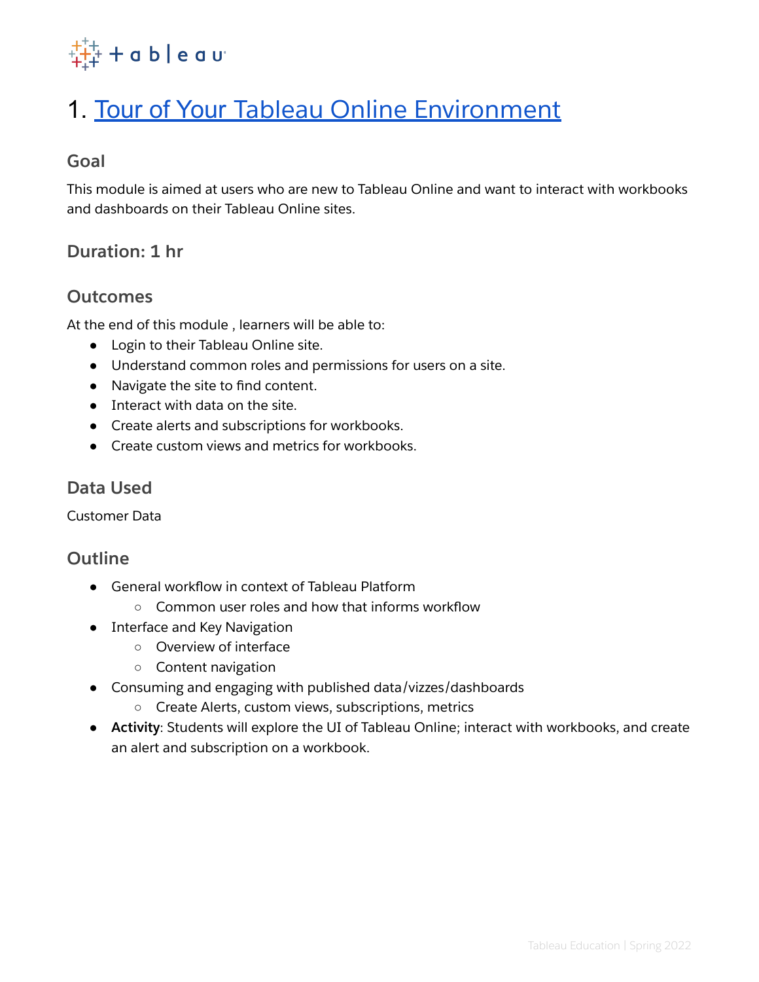

# <span id="page-1-0"></span>1. Tour of Your Tableau Online [Environment](#page-1-0)

# **Goal**

This module is aimed at users who are new to Tableau Online and want to interact with workbooks and dashboards on their Tableau Online sites.

# **Duration: 1 hr**

### **Outcomes**

At the end of this module , learners will be able to:

- Login to their Tableau Online site.
- Understand common roles and permissions for users on a site.
- Navigate the site to find content.
- Interact with data on the site.
- Create alerts and subscriptions for workbooks.
- Create custom views and metrics for workbooks.

#### **Data Used**

Customer Data

- General workflow in context of Tableau Platform
	- Common user roles and how that informs workflow
- Interface and Key Navigation
	- Overview of interface
		- Content navigation
- Consuming and engaging with published data/vizzes/dashboards
	- Create Alerts, custom views, subscriptions, metrics
- **Activity**: Students will explore the UI of Tableau Online; interact with workbooks, and create an alert and subscription on a workbook.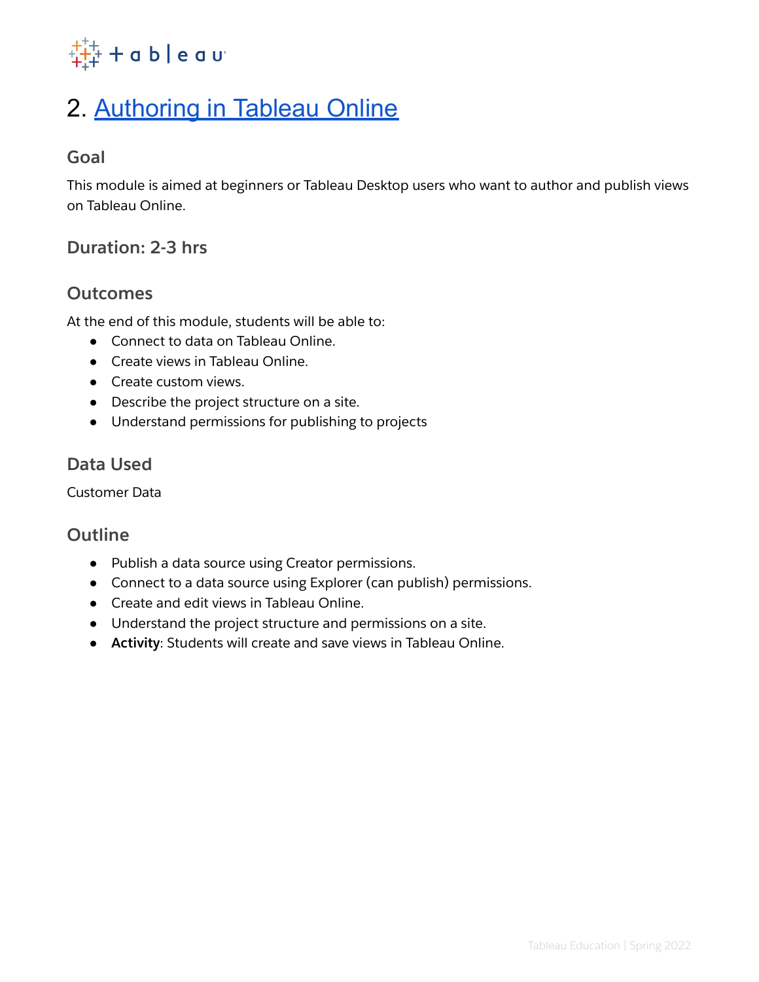

# <span id="page-2-0"></span>2. [Authoring](#page-2-0) in Tableau Online

### **Goal**

This module is aimed at beginners or Tableau Desktop users who want to author and publish views on Tableau Online.

# **Duration: 2-3 hrs**

### **Outcomes**

At the end of this module, students will be able to:

- Connect to data on Tableau Online.
- Create views in Tableau Online.
- Create custom views.
- Describe the project structure on a site.
- Understand permissions for publishing to projects

### **Data Used**

Customer Data

- Publish a data source using Creator permissions.
- Connect to a data source using Explorer (can publish) permissions.
- Create and edit views in Tableau Online.
- Understand the project structure and permissions on a site.
- **Activity**: Students will create and save views in Tableau Online.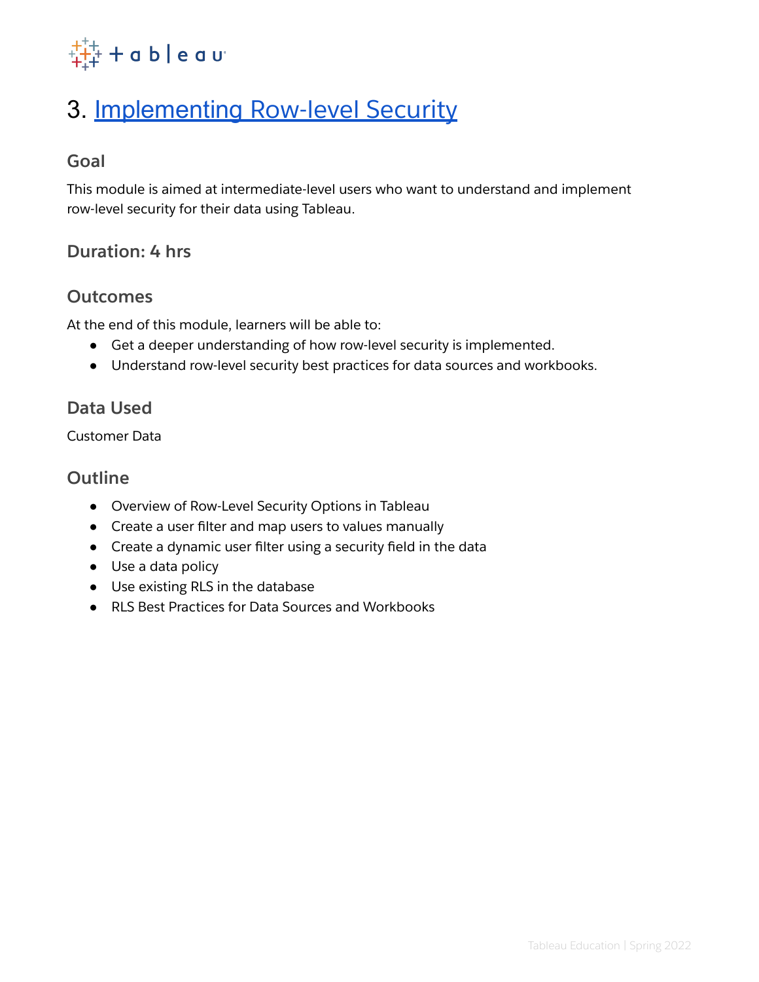

# <span id="page-3-0"></span>3. [Implementing](#page-3-0) Row-level Security

# **Goal**

This module is aimed at intermediate-level users who want to understand and implement row-level security for their data using Tableau.

# **Duration: 4 hrs**

### **Outcomes**

At the end of this module, learners will be able to:

- Get a deeper understanding of how row-level security is implemented.
- Understand row-level security best practices for data sources and workbooks.

# **Data Used**

Customer Data

- Overview of Row-Level Security Options in Tableau
- Create a user filter and map users to values manually
- Create a dynamic user filter using a security field in the data
- Use a data policy
- Use existing RLS in the database
- RLS Best Practices for Data Sources and Workbooks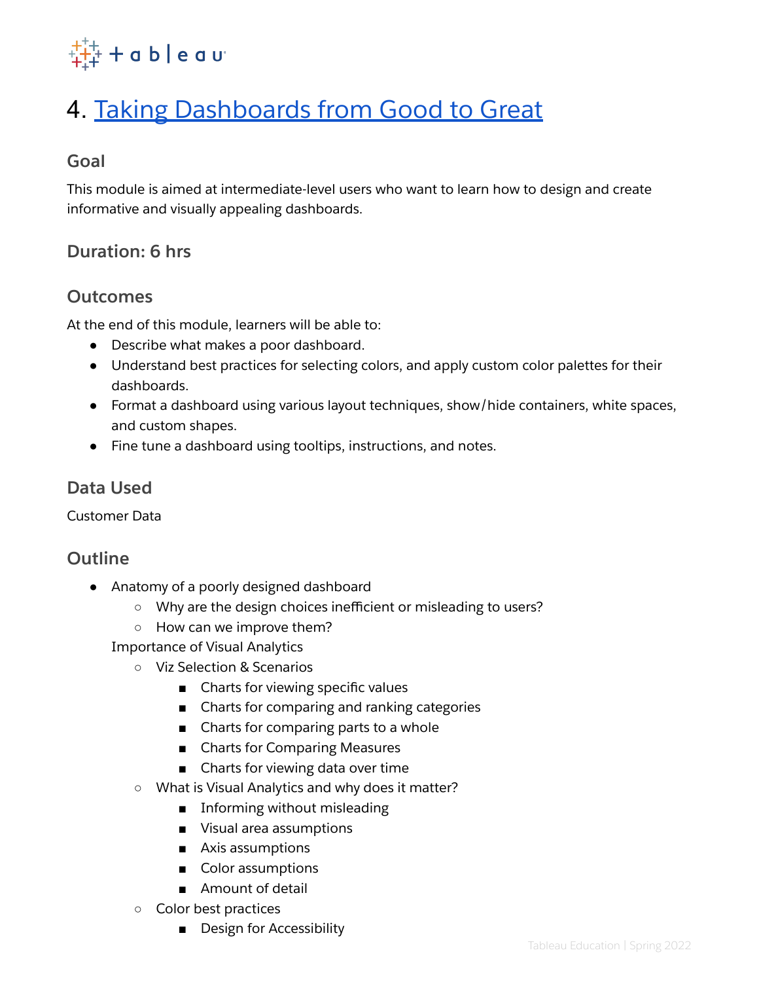

# <span id="page-4-0"></span>4. Taking [Dashboards](#page-4-0) from Good to Great

# **Goal**

This module is aimed at intermediate-level users who want to learn how to design and create informative and visually appealing dashboards.

# **Duration: 6 hrs**

### **Outcomes**

At the end of this module, learners will be able to:

- Describe what makes a poor dashboard.
- Understand best practices for selecting colors, and apply custom color palettes for their dashboards.
- Format a dashboard using various layout techniques, show/hide containers, white spaces, and custom shapes.
- Fine tune a dashboard using tooltips, instructions, and notes.

### **Data Used**

Customer Data

# **Outline**

- Anatomy of a poorly designed dashboard
	- Why are the design choices inefficient or misleading to users?
	- How can we improve them?

Importance of Visual Analytics

- Viz Selection & Scenarios
	- Charts for viewing specific values
	- Charts for comparing and ranking categories
	- Charts for comparing parts to a whole
	- Charts for Comparing Measures
	- Charts for viewing data over time
- What is Visual Analytics and why does it matter?
	- Informing without misleading
	- Visual area assumptions
	- Axis assumptions
	- Color assumptions
	- Amount of detail
- Color best practices
	- Design for Accessibility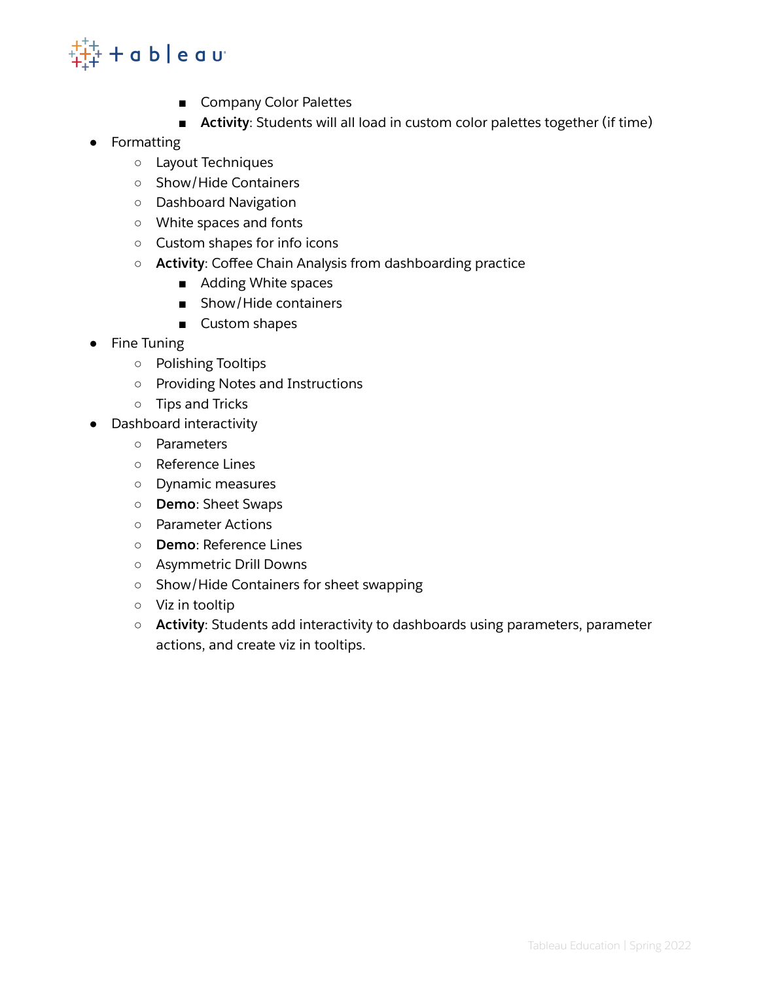

- Company Color Palettes
- **Activity**: Students will all load in custom color palettes together (if time)
- Formatting
	- Layout Techniques
	- Show/Hide Containers
	- Dashboard Navigation
	- White spaces and fonts
	- Custom shapes for info icons
	- **Activity**: Coffee Chain Analysis from dashboarding practice
		- Adding White spaces
		- Show/Hide containers
		- Custom shapes
- **Fine Tuning** 
	- Polishing Tooltips
	- Providing Notes and Instructions
	- Tips and Tricks
- Dashboard interactivity
	- **○** Parameters
	- Reference Lines
	- Dynamic measures
	- **Demo**: Sheet Swaps
	- Parameter Actions
	- **Demo**: Reference Lines
	- Asymmetric Drill Downs
	- Show/Hide Containers for sheet swapping
	- Viz in tooltip
	- **Activity**: Students add interactivity to dashboards using parameters, parameter actions, and create viz in tooltips.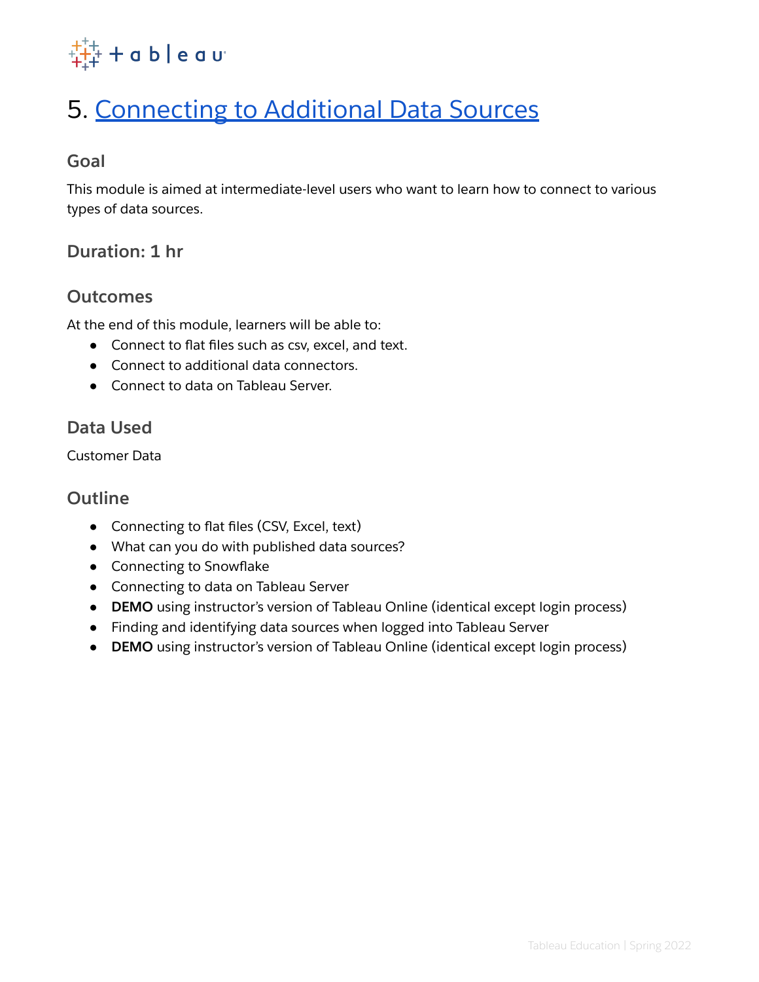

# <span id="page-6-0"></span>5. [Connecting](#page-6-0) to Additional Data Sources

### **Goal**

This module is aimed at intermediate-level users who want to learn how to connect to various types of data sources.

# **Duration: 1 hr**

#### **Outcomes**

At the end of this module, learners will be able to:

- Connect to flat files such as csv, excel, and text.
- Connect to additional data connectors.
- Connect to data on Tableau Server.

### **Data Used**

Customer Data

- Connecting to flat files (CSV, Excel, text)
- What can you do with published data sources?
- Connecting to Snowflake
- Connecting to data on Tableau Server
- **DEMO** using instructor's version of Tableau Online (identical except login process)
- Finding and identifying data sources when logged into Tableau Server
- **DEMO** using instructor's version of Tableau Online (identical except login process)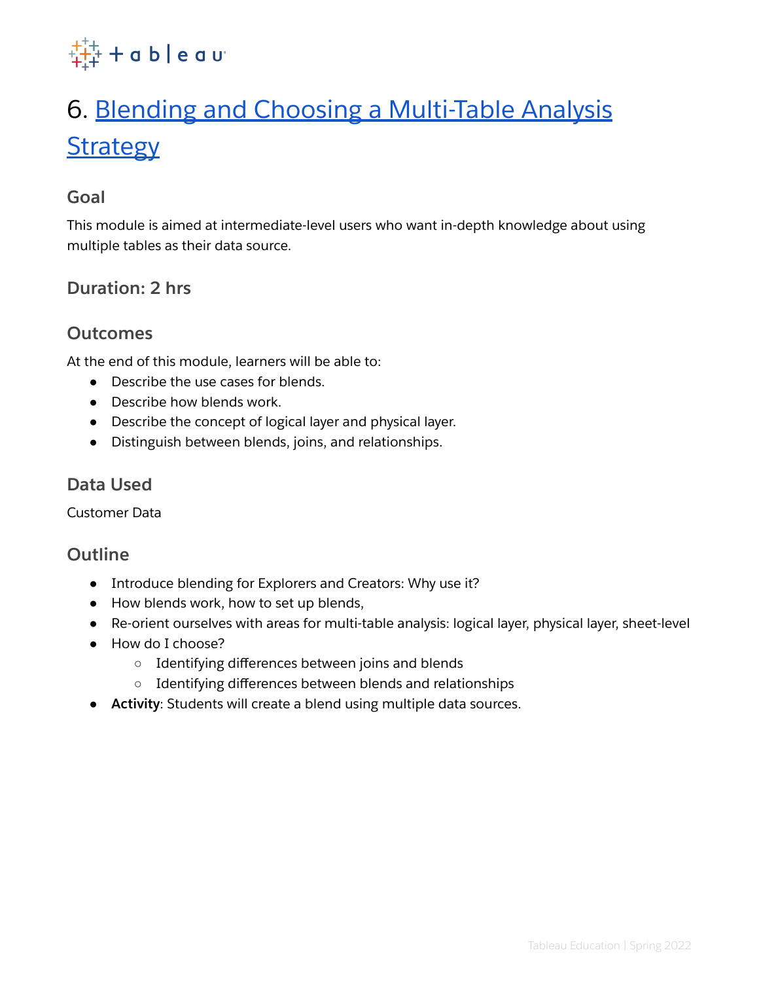

# <span id="page-7-0"></span>6. Blending and Choosing a [Multi-Table](#page-7-0) Analysis **[Strategy](#page-7-0)**

#### **Goal**

This module is aimed at intermediate-level users who want in-depth knowledge about using multiple tables as their data source.

# **Duration: 2 hrs**

# **Outcomes**

At the end of this module, learners will be able to:

- Describe the use cases for blends.
- Describe how blends work.
- Describe the concept of logical layer and physical layer.
- Distinguish between blends, joins, and relationships.

# **Data Used**

Customer Data

- Introduce blending for Explorers and Creators: Why use it?
- How blends work, how to set up blends,
- Re-orient ourselves with areas for multi-table analysis: logical layer, physical layer, sheet-level
- How do I choose?
	- Identifying differences between joins and blends
	- Identifying differences between blends and relationships
- **Activity**: Students will create a blend using multiple data sources.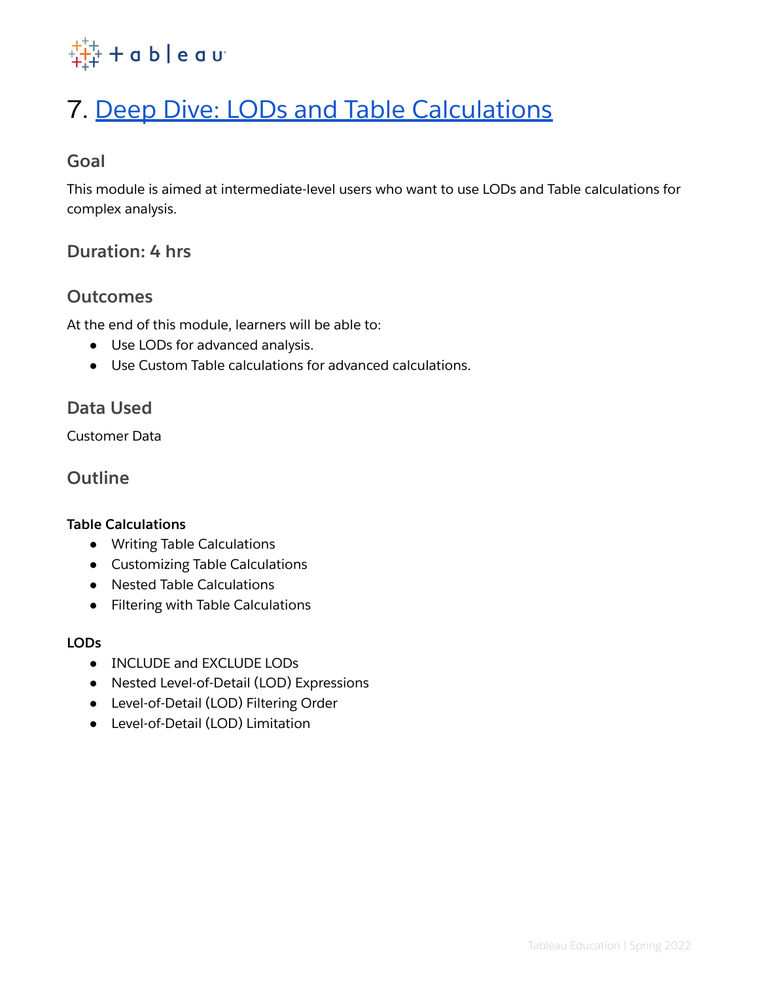

# <span id="page-8-0"></span>7. Deep Dive: LODs and Table [Calculations](#page-8-0)

# **Goal**

This module is aimed at intermediate-level users who want to use LODs and Table calculations for complex analysis.

# **Duration: 4 hrs**

### **Outcomes**

At the end of this module, learners will be able to:

- Use LODs for advanced analysis.
- Use Custom Table calculations for advanced calculations.

# **Data Used**

Customer Data

# **Outline**

#### **Table Calculations**

- Writing Table Calculations
- Customizing Table Calculations
- Nested Table Calculations
- Filtering with Table Calculations

#### **LODs**

- INCLUDE and EXCLUDE LODs
- Nested Level-of-Detail (LOD) Expressions
- Level-of-Detail (LOD) Filtering Order
- Level-of-Detail (LOD) Limitation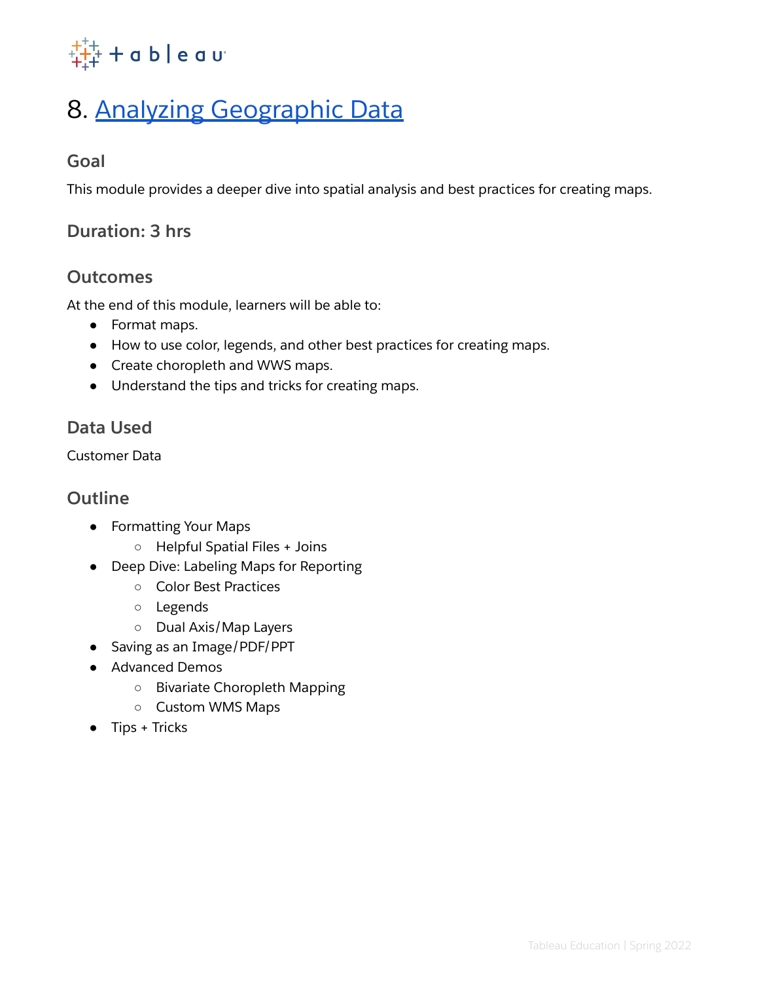

# <span id="page-9-0"></span>8. Analyzing [Geographic](#page-9-0) Data

# **Goal**

This module provides a deeper dive into spatial analysis and best practices for creating maps.

# **Duration: 3 hrs**

# **Outcomes**

At the end of this module, learners will be able to:

- Format maps.
- How to use color, legends, and other best practices for creating maps.
- Create choropleth and WWS maps.
- Understand the tips and tricks for creating maps.

# **Data Used**

Customer Data

- Formatting Your Maps
	- Helpful Spatial Files + Joins
- Deep Dive: Labeling Maps for Reporting
	- Color Best Practices
	- Legends
	- Dual Axis/Map Layers
- Saving as an Image/PDF/PPT
- Advanced Demos
	- Bivariate Choropleth Mapping
	- Custom WMS Maps
- $\bullet$  Tips + Tricks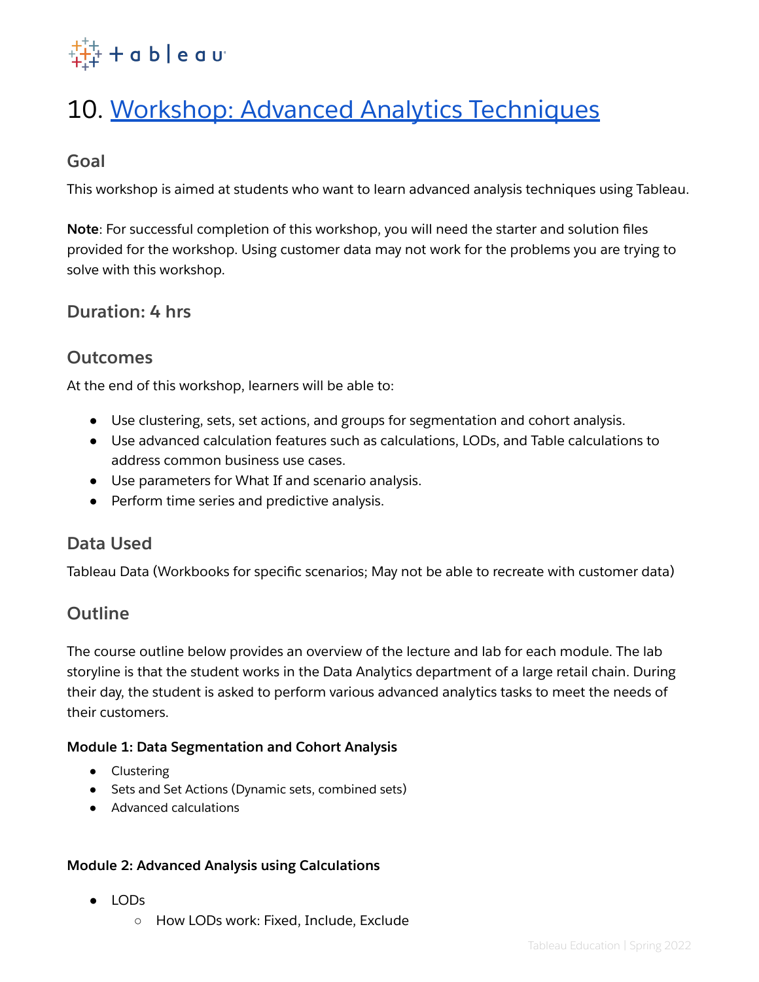

# <span id="page-10-0"></span>10. Workshop: Advanced Analytics [Techniques](#page-10-0)

### **Goal**

This workshop is aimed at students who want to learn advanced analysis techniques using Tableau.

**Note**: For successful completion of this workshop, you will need the starter and solution files provided for the workshop. Using customer data may not work for the problems you are trying to solve with this workshop.

### **Duration: 4 hrs**

# **Outcomes**

At the end of this workshop, learners will be able to:

- Use clustering, sets, set actions, and groups for segmentation and cohort analysis.
- Use advanced calculation features such as calculations, LODs, and Table calculations to address common business use cases.
- Use parameters for What If and scenario analysis.
- Perform time series and predictive analysis.

#### **Data Used**

Tableau Data (Workbooks for specific scenarios; May not be able to recreate with customer data)

# **Outline**

The course outline below provides an overview of the lecture and lab for each module. The lab storyline is that the student works in the Data Analytics department of a large retail chain. During their day, the student is asked to perform various advanced analytics tasks to meet the needs of their customers.

#### **Module 1: Data Segmentation and Cohort Analysis**

- Clustering
- Sets and Set Actions (Dynamic sets, combined sets)
- Advanced calculations

#### **Module 2: Advanced Analysis using Calculations**

- LODs
	- How LODs work: Fixed, Include, Exclude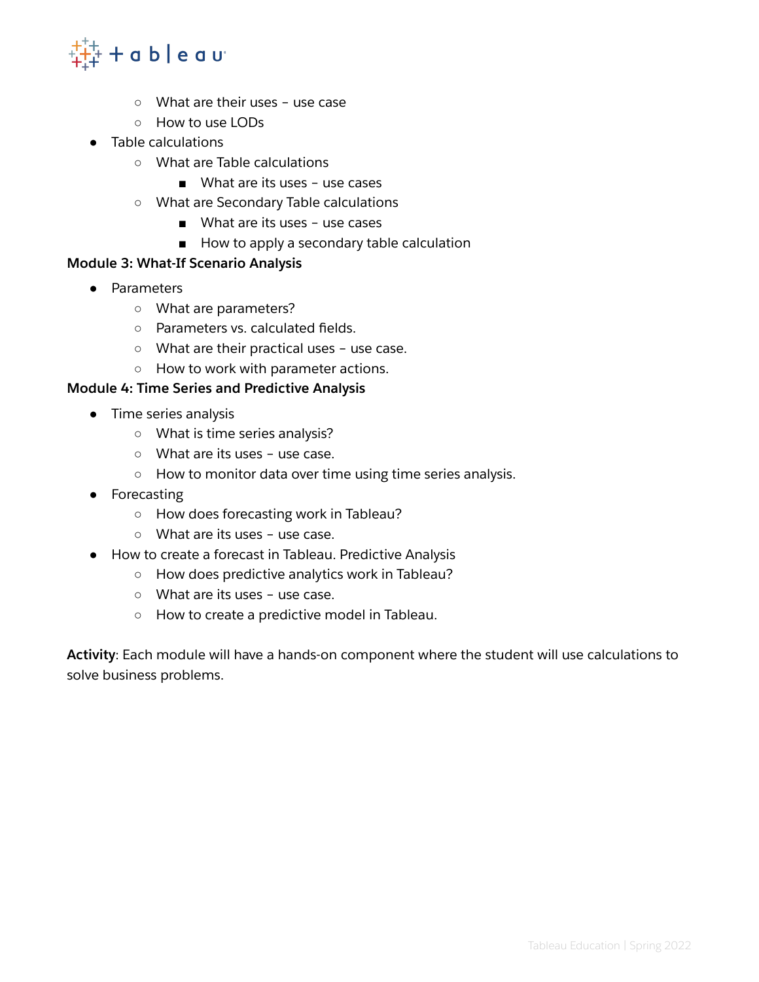

- What are their uses use case
- How to use LODs
- Table calculations
	- What are Table calculations
		- What are its uses use cases
	- What are Secondary Table calculations
		- What are its uses use cases
		- How to apply a secondary table calculation

#### **Module 3: What-If Scenario Analysis**

- Parameters
	- What are parameters?
	- Parameters vs. calculated fields.
	- What are their practical uses use case.
	- How to work with parameter actions.

#### **Module 4: Time Series and Predictive Analysis**

- Time series analysis
	- What is time series analysis?
	- What are its uses use case.
	- How to monitor data over time using time series analysis.
- Forecasting
	- How does forecasting work in Tableau?
	- What are its uses use case.
- How to create a forecast in Tableau. Predictive Analysis
	- How does predictive analytics work in Tableau?
	- What are its uses use case.
	- How to create a predictive model in Tableau.

**Activity**: Each module will have a hands-on component where the student will use calculations to solve business problems.